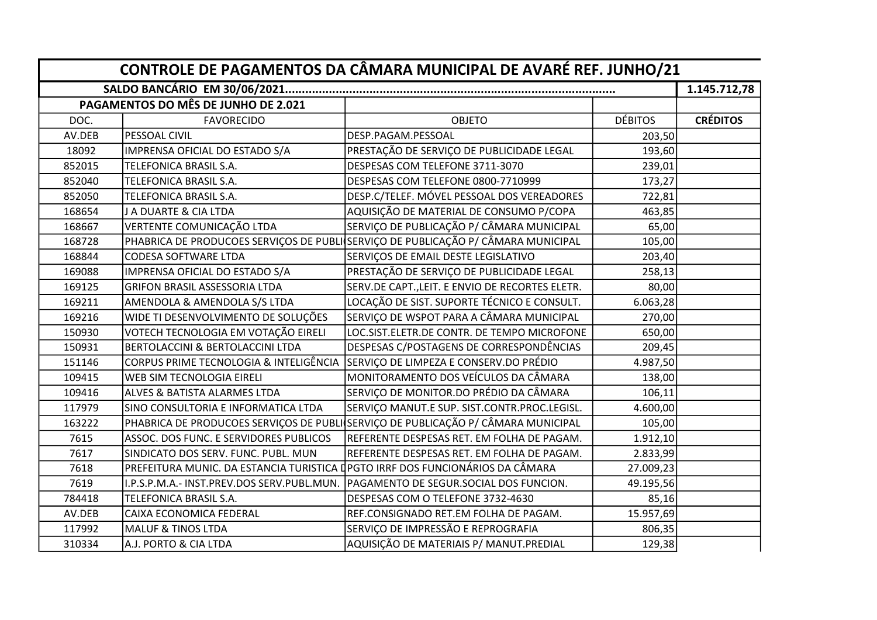| CONTROLE DE PAGAMENTOS DA CÂMARA MUNICIPAL DE AVARÉ REF. JUNHO/21 |                                                                               |                                                                                  |                |                 |  |  |
|-------------------------------------------------------------------|-------------------------------------------------------------------------------|----------------------------------------------------------------------------------|----------------|-----------------|--|--|
|                                                                   |                                                                               |                                                                                  |                |                 |  |  |
|                                                                   | PAGAMENTOS DO MÊS DE JUNHO DE 2.021                                           |                                                                                  |                |                 |  |  |
| DOC.                                                              | <b>FAVORECIDO</b>                                                             | <b>OBJETO</b>                                                                    | <b>DÉBITOS</b> | <b>CRÉDITOS</b> |  |  |
| AV.DEB                                                            | PESSOAL CIVIL                                                                 | DESP.PAGAM.PESSOAL                                                               | 203,50         |                 |  |  |
| 18092                                                             | IMPRENSA OFICIAL DO ESTADO S/A                                                | PRESTAÇÃO DE SERVIÇO DE PUBLICIDADE LEGAL                                        | 193,60         |                 |  |  |
| 852015                                                            | TELEFONICA BRASIL S.A.                                                        | DESPESAS COM TELEFONE 3711-3070                                                  | 239,01         |                 |  |  |
| 852040                                                            | TELEFONICA BRASIL S.A.                                                        | DESPESAS COM TELEFONE 0800-7710999                                               | 173,27         |                 |  |  |
| 852050                                                            | TELEFONICA BRASIL S.A.                                                        | DESP.C/TELEF. MÓVEL PESSOAL DOS VEREADORES                                       | 722,81         |                 |  |  |
| 168654                                                            | J A DUARTE & CIA LTDA                                                         | AQUISIÇÃO DE MATERIAL DE CONSUMO P/COPA                                          | 463,85         |                 |  |  |
| 168667                                                            | VERTENTE COMUNICAÇÃO LTDA                                                     | SERVIÇO DE PUBLICAÇÃO P/ CÂMARA MUNICIPAL                                        | 65,00          |                 |  |  |
| 168728                                                            |                                                                               | PHABRICA DE PRODUCOES SERVIÇOS DE PUBLISERVIÇO DE PUBLICAÇÃO P/ CÂMARA MUNICIPAL | 105,00         |                 |  |  |
| 168844                                                            | <b>CODESA SOFTWARE LTDA</b>                                                   | SERVIÇOS DE EMAIL DESTE LEGISLATIVO                                              | 203,40         |                 |  |  |
| 169088                                                            | IMPRENSA OFICIAL DO ESTADO S/A                                                | PRESTAÇÃO DE SERVIÇO DE PUBLICIDADE LEGAL                                        | 258,13         |                 |  |  |
| 169125                                                            | <b>GRIFON BRASIL ASSESSORIA LTDA</b>                                          | SERV.DE CAPT., LEIT. E ENVIO DE RECORTES ELETR.                                  | 80,00          |                 |  |  |
| 169211                                                            | AMENDOLA & AMENDOLA S/S LTDA                                                  | LOCAÇÃO DE SIST. SUPORTE TÉCNICO E CONSULT.                                      | 6.063,28       |                 |  |  |
| 169216                                                            | WIDE TI DESENVOLVIMENTO DE SOLUÇÕES                                           | SERVIÇO DE WSPOT PARA A CÂMARA MUNICIPAL                                         | 270,00         |                 |  |  |
| 150930                                                            | VOTECH TECNOLOGIA EM VOTAÇÃO EIRELI                                           | LOC.SIST.ELETR.DE CONTR. DE TEMPO MICROFONE                                      | 650,00         |                 |  |  |
| 150931                                                            | <b>BERTOLACCINI &amp; BERTOLACCINI LTDA</b>                                   | DESPESAS C/POSTAGENS DE CORRESPONDÊNCIAS                                         | 209,45         |                 |  |  |
| 151146                                                            | CORPUS PRIME TECNOLOGIA & INTELIGÊNCIA                                        | SERVIÇO DE LIMPEZA E CONSERV.DO PRÉDIO                                           | 4.987,50       |                 |  |  |
| 109415                                                            | WEB SIM TECNOLOGIA EIRELI                                                     | MONITORAMENTO DOS VEÍCULOS DA CÂMARA                                             | 138,00         |                 |  |  |
| 109416                                                            | ALVES & BATISTA ALARMES LTDA                                                  | SERVIÇO DE MONITOR.DO PRÉDIO DA CÂMARA                                           | 106,11         |                 |  |  |
| 117979                                                            | SINO CONSULTORIA E INFORMATICA LTDA                                           | SERVIÇO MANUT.E SUP. SIST.CONTR.PROC.LEGISL.                                     | 4.600,00       |                 |  |  |
| 163222                                                            |                                                                               | PHABRICA DE PRODUCOES SERVIÇOS DE PUBLISERVIÇO DE PUBLICAÇÃO P/ CÂMARA MUNICIPAL | 105,00         |                 |  |  |
| 7615                                                              | ASSOC. DOS FUNC. E SERVIDORES PUBLICOS                                        | REFERENTE DESPESAS RET. EM FOLHA DE PAGAM.                                       | 1.912,10       |                 |  |  |
| 7617                                                              | SINDICATO DOS SERV. FUNC. PUBL. MUN                                           | REFERENTE DESPESAS RET. EM FOLHA DE PAGAM.                                       | 2.833,99       |                 |  |  |
| 7618                                                              | PREFEITURA MUNIC. DA ESTANCIA TURISTICA DPGTO IRRF DOS FUNCIONÁRIOS DA CÂMARA |                                                                                  | 27.009,23      |                 |  |  |
| 7619                                                              | I.P.S.P.M.A.- INST.PREV.DOS SERV.PUBL.MUN.                                    | PAGAMENTO DE SEGUR.SOCIAL DOS FUNCION.                                           | 49.195,56      |                 |  |  |
| 784418                                                            | TELEFONICA BRASIL S.A.                                                        | DESPESAS COM O TELEFONE 3732-4630                                                | 85,16          |                 |  |  |
| AV.DEB                                                            | CAIXA ECONOMICA FEDERAL                                                       | REF.CONSIGNADO RET.EM FOLHA DE PAGAM.                                            | 15.957,69      |                 |  |  |
| 117992                                                            | <b>MALUF &amp; TINOS LTDA</b>                                                 | SERVIÇO DE IMPRESSÃO E REPROGRAFIA                                               | 806,35         |                 |  |  |
| 310334                                                            | A.J. PORTO & CIA LTDA                                                         | AQUISIÇÃO DE MATERIAIS P/ MANUT.PREDIAL                                          | 129,38         |                 |  |  |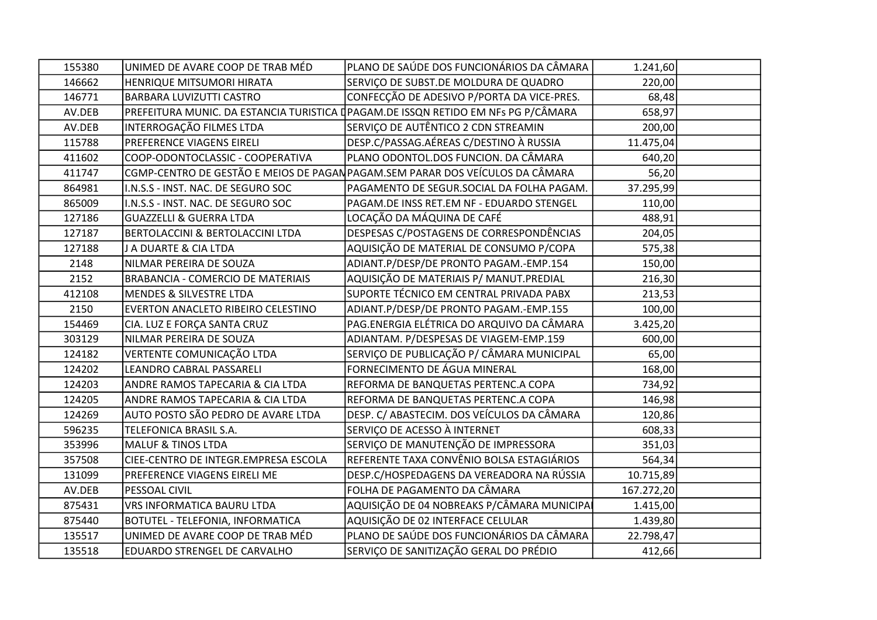| 155380 | UNIMED DE AVARE COOP DE TRAB MÉD         | PLANO DE SAÚDE DOS FUNCIONÁRIOS DA CÂMARA                                         | 1.241,60   |  |
|--------|------------------------------------------|-----------------------------------------------------------------------------------|------------|--|
| 146662 | HENRIQUE MITSUMORI HIRATA                | SERVIÇO DE SUBST.DE MOLDURA DE QUADRO                                             | 220,00     |  |
| 146771 | BARBARA LUVIZUTTI CASTRO                 | CONFECÇÃO DE ADESIVO P/PORTA DA VICE-PRES.                                        | 68,48      |  |
| AV.DEB |                                          | PREFEITURA MUNIC. DA ESTANCIA TURISTICA (PAGAM.DE ISSQN RETIDO EM NFs PG P/CÂMARA | 658,97     |  |
| AV.DEB | INTERROGAÇÃO FILMES LTDA                 | SERVIÇO DE AUTÊNTICO 2 CDN STREAMIN                                               | 200,00     |  |
| 115788 | PREFERENCE VIAGENS EIRELI                | DESP.C/PASSAG.AÉREAS C/DESTINO À RUSSIA                                           | 11.475,04  |  |
| 411602 | COOP-ODONTOCLASSIC - COOPERATIVA         | PLANO ODONTOL.DOS FUNCION. DA CÂMARA                                              | 640,20     |  |
| 411747 |                                          | CGMP-CENTRO DE GESTÃO E MEIOS DE PAGAN PAGAM.SEM PARAR DOS VEÍCULOS DA CÂMARA     | 56,20      |  |
| 864981 | I.N.S.S - INST. NAC. DE SEGURO SOC       | PAGAMENTO DE SEGUR.SOCIAL DA FOLHA PAGAM.                                         | 37.295,99  |  |
| 865009 | I.N.S.S - INST. NAC. DE SEGURO SOC       | PAGAM.DE INSS RET.EM NF - EDUARDO STENGEL                                         | 110,00     |  |
| 127186 | <b>GUAZZELLI &amp; GUERRA LTDA</b>       | LOCAÇÃO DA MÁQUINA DE CAFÉ                                                        | 488,91     |  |
| 127187 | BERTOLACCINI & BERTOLACCINI LTDA         | DESPESAS C/POSTAGENS DE CORRESPONDÊNCIAS                                          | 204,05     |  |
| 127188 | J A DUARTE & CIA LTDA                    | AQUISIÇÃO DE MATERIAL DE CONSUMO P/COPA                                           | 575,38     |  |
| 2148   | NILMAR PEREIRA DE SOUZA                  | ADIANT.P/DESP/DE PRONTO PAGAM.-EMP.154                                            | 150,00     |  |
| 2152   | <b>BRABANCIA - COMERCIO DE MATERIAIS</b> | AQUISIÇÃO DE MATERIAIS P/ MANUT.PREDIAL                                           | 216,30     |  |
| 412108 | MENDES & SILVESTRE LTDA                  | SUPORTE TÉCNICO EM CENTRAL PRIVADA PABX                                           | 213,53     |  |
| 2150   | EVERTON ANACLETO RIBEIRO CELESTINO       | ADIANT.P/DESP/DE PRONTO PAGAM.-EMP.155                                            | 100,00     |  |
| 154469 | CIA. LUZ E FORÇA SANTA CRUZ              | PAG.ENERGIA ELÉTRICA DO ARQUIVO DA CÂMARA                                         | 3.425,20   |  |
| 303129 | NILMAR PEREIRA DE SOUZA                  | ADIANTAM. P/DESPESAS DE VIAGEM-EMP.159                                            | 600,00     |  |
| 124182 | VERTENTE COMUNICAÇÃO LTDA                | SERVIÇO DE PUBLICAÇÃO P/ CÂMARA MUNICIPAL                                         | 65,00      |  |
| 124202 | LEANDRO CABRAL PASSARELI                 | FORNECIMENTO DE ÁGUA MINERAL                                                      | 168,00     |  |
| 124203 | ANDRE RAMOS TAPECARIA & CIA LTDA         | REFORMA DE BANQUETAS PERTENC.A COPA                                               | 734,92     |  |
| 124205 | ANDRE RAMOS TAPECARIA & CIA LTDA         | REFORMA DE BANQUETAS PERTENC.A COPA                                               | 146,98     |  |
| 124269 | AUTO POSTO SÃO PEDRO DE AVARE LTDA       | DESP. C/ ABASTECIM. DOS VEÍCULOS DA CÂMARA                                        | 120,86     |  |
| 596235 | TELEFONICA BRASIL S.A.                   | SERVIÇO DE ACESSO À INTERNET                                                      | 608,33     |  |
| 353996 | <b>MALUF &amp; TINOS LTDA</b>            | SERVIÇO DE MANUTENÇÃO DE IMPRESSORA                                               | 351,03     |  |
| 357508 | CIEE-CENTRO DE INTEGR.EMPRESA ESCOLA     | REFERENTE TAXA CONVÊNIO BOLSA ESTAGIÁRIOS                                         | 564,34     |  |
| 131099 | PREFERENCE VIAGENS EIRELI ME             | DESP.C/HOSPEDAGENS DA VEREADORA NA RÚSSIA                                         | 10.715,89  |  |
| AV.DEB | PESSOAL CIVIL                            | FOLHA DE PAGAMENTO DA CÂMARA                                                      | 167.272,20 |  |
| 875431 | VRS INFORMATICA BAURU LTDA               | AQUISIÇÃO DE 04 NOBREAKS P/CÂMARA MUNICIPA                                        | 1.415,00   |  |
| 875440 | BOTUTEL - TELEFONIA, INFORMATICA         | AQUISIÇÃO DE 02 INTERFACE CELULAR                                                 | 1.439,80   |  |
| 135517 | UNIMED DE AVARE COOP DE TRAB MÉD         | PLANO DE SAÚDE DOS FUNCIONÁRIOS DA CÂMARA                                         | 22.798,47  |  |
| 135518 | EDUARDO STRENGEL DE CARVALHO             | SERVIÇO DE SANITIZAÇÃO GERAL DO PRÉDIO                                            | 412,66     |  |